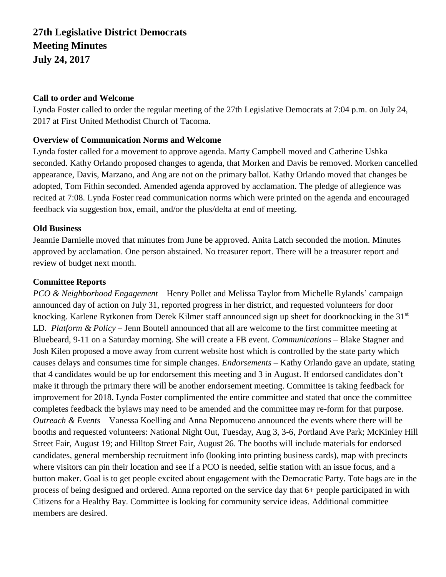# **27th Legislative District Democrats Meeting Minutes July 24, 2017**

#### **Call to order and Welcome**

Lynda Foster called to order the regular meeting of the 27th Legislative Democrats at 7:04 p.m. on July 24, 2017 at First United Methodist Church of Tacoma.

#### **Overview of Communication Norms and Welcome**

Lynda foster called for a movement to approve agenda. Marty Campbell moved and Catherine Ushka seconded. Kathy Orlando proposed changes to agenda, that Morken and Davis be removed. Morken cancelled appearance, Davis, Marzano, and Ang are not on the primary ballot. Kathy Orlando moved that changes be adopted, Tom Fithin seconded. Amended agenda approved by acclamation. The pledge of allegience was recited at 7:08. Lynda Foster read communication norms which were printed on the agenda and encouraged feedback via suggestion box, email, and/or the plus/delta at end of meeting.

#### **Old Business**

Jeannie Darnielle moved that minutes from June be approved. Anita Latch seconded the motion. Minutes approved by acclamation. One person abstained. No treasurer report. There will be a treasurer report and review of budget next month.

#### **Committee Reports**

*PCO & Neighborhood Engagement* – Henry Pollet and Melissa Taylor from Michelle Rylands' campaign announced day of action on July 31, reported progress in her district, and requested volunteers for door knocking. Karlene Rytkonen from Derek Kilmer staff announced sign up sheet for doorknocking in the 31<sup>st</sup> LD. *Platform & Policy –* Jenn Boutell announced that all are welcome to the first committee meeting at Bluebeard, 9-11 on a Saturday morning. She will create a FB event. *Communications –* Blake Stagner and Josh Kilen proposed a move away from current website host which is controlled by the state party which causes delays and consumes time for simple changes. *Endorsements –* Kathy Orlando gave an update, stating that 4 candidates would be up for endorsement this meeting and 3 in August. If endorsed candidates don't make it through the primary there will be another endorsement meeting. Committee is taking feedback for improvement for 2018. Lynda Foster complimented the entire committee and stated that once the committee completes feedback the bylaws may need to be amended and the committee may re-form for that purpose. *Outreach & Events –* Vanessa Koelling and Anna Nepomuceno announced the events where there will be booths and requested volunteers: National Night Out, Tuesday, Aug 3, 3-6, Portland Ave Park; McKinley Hill Street Fair, August 19; and Hilltop Street Fair, August 26. The booths will include materials for endorsed candidates, general membership recruitment info (looking into printing business cards), map with precincts where visitors can pin their location and see if a PCO is needed, selfie station with an issue focus, and a button maker. Goal is to get people excited about engagement with the Democratic Party. Tote bags are in the process of being designed and ordered. Anna reported on the service day that 6+ people participated in with Citizens for a Healthy Bay. Committee is looking for community service ideas. Additional committee members are desired.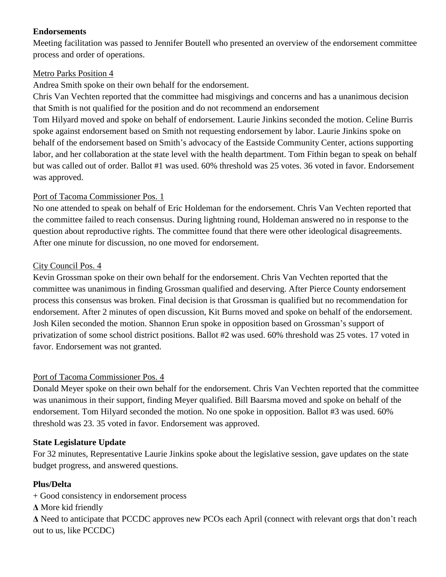## **Endorsements**

Meeting facilitation was passed to Jennifer Boutell who presented an overview of the endorsement committee process and order of operations.

## Metro Parks Position 4

Andrea Smith spoke on their own behalf for the endorsement.

Chris Van Vechten reported that the committee had misgivings and concerns and has a unanimous decision that Smith is not qualified for the position and do not recommend an endorsement

Tom Hilyard moved and spoke on behalf of endorsement. Laurie Jinkins seconded the motion. Celine Burris spoke against endorsement based on Smith not requesting endorsement by labor. Laurie Jinkins spoke on behalf of the endorsement based on Smith's advocacy of the Eastside Community Center, actions supporting labor, and her collaboration at the state level with the health department. Tom Fithin began to speak on behalf but was called out of order. Ballot #1 was used. 60% threshold was 25 votes. 36 voted in favor. Endorsement was approved.

## Port of Tacoma Commissioner Pos. 1

No one attended to speak on behalf of Eric Holdeman for the endorsement. Chris Van Vechten reported that the committee failed to reach consensus. During lightning round, Holdeman answered no in response to the question about reproductive rights. The committee found that there were other ideological disagreements. After one minute for discussion, no one moved for endorsement.

## City Council Pos. 4

Kevin Grossman spoke on their own behalf for the endorsement. Chris Van Vechten reported that the committee was unanimous in finding Grossman qualified and deserving. After Pierce County endorsement process this consensus was broken. Final decision is that Grossman is qualified but no recommendation for endorsement. After 2 minutes of open discussion, Kit Burns moved and spoke on behalf of the endorsement. Josh Kilen seconded the motion. Shannon Erun spoke in opposition based on Grossman's support of privatization of some school district positions. Ballot #2 was used. 60% threshold was 25 votes. 17 voted in favor. Endorsement was not granted.

# Port of Tacoma Commissioner Pos. 4

Donald Meyer spoke on their own behalf for the endorsement. Chris Van Vechten reported that the committee was unanimous in their support, finding Meyer qualified. Bill Baarsma moved and spoke on behalf of the endorsement. Tom Hilyard seconded the motion. No one spoke in opposition. Ballot #3 was used. 60% threshold was 23. 35 voted in favor. Endorsement was approved.

#### **State Legislature Update**

For 32 minutes, Representative Laurie Jinkins spoke about the legislative session, gave updates on the state budget progress, and answered questions.

# **Plus/Delta**

+ Good consistency in endorsement process

**Δ** More kid friendly

**Δ** Need to anticipate that PCCDC approves new PCOs each April (connect with relevant orgs that don't reach out to us, like PCCDC)